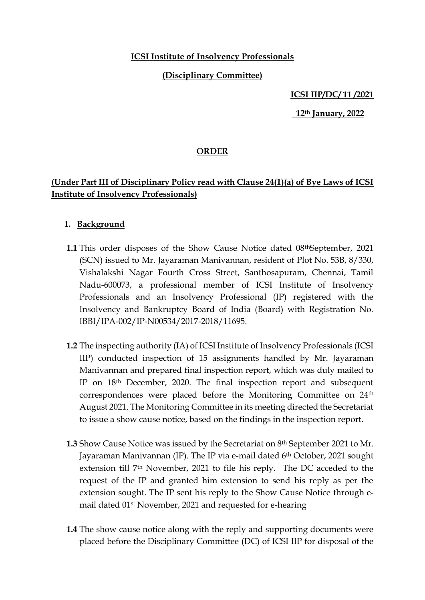### **ICSI Institute of Insolvency Professionals**

### **(Disciplinary Committee)**

#### **ICSI IIP/DC/ 11 /2021**

 **12th January, 2022**

### **ORDER**

# **(Under Part III of Disciplinary Policy read with Clause 24(1)(a) of Bye Laws of ICSI Institute of Insolvency Professionals)**

### **1. Background**

- **1.1** This order disposes of the Show Cause Notice dated 08<sup>th</sup>September, 2021 (SCN) issued to Mr. Jayaraman Manivannan, resident of Plot No. 53B, 8/330, Vishalakshi Nagar Fourth Cross Street, Santhosapuram, Chennai, Tamil Nadu-600073, a professional member of ICSI Institute of Insolvency Professionals and an Insolvency Professional (IP) registered with the Insolvency and Bankruptcy Board of India (Board) with Registration No. IBBI/IPA-002/IP-N00534/2017-2018/11695.
- **1.2** The inspecting authority (IA) of ICSI Institute of Insolvency Professionals (ICSI IIP) conducted inspection of 15 assignments handled by Mr. Jayaraman Manivannan and prepared final inspection report, which was duly mailed to IP on 18th December, 2020. The final inspection report and subsequent correspondences were placed before the Monitoring Committee on 24th August 2021. The Monitoring Committee in its meeting directed the Secretariat to issue a show cause notice, based on the findings in the inspection report.
- **1.3** Show Cause Notice was issued by the Secretariat on 8th September 2021 to Mr. Jayaraman Manivannan (IP). The IP via e-mail dated 6th October, 2021 sought extension till 7th November, 2021 to file his reply. The DC acceded to the request of the IP and granted him extension to send his reply as per the extension sought. The IP sent his reply to the Show Cause Notice through email dated 01st November, 2021 and requested for e-hearing
- **1.4** The show cause notice along with the reply and supporting documents were placed before the Disciplinary Committee (DC) of ICSI IIP for disposal of the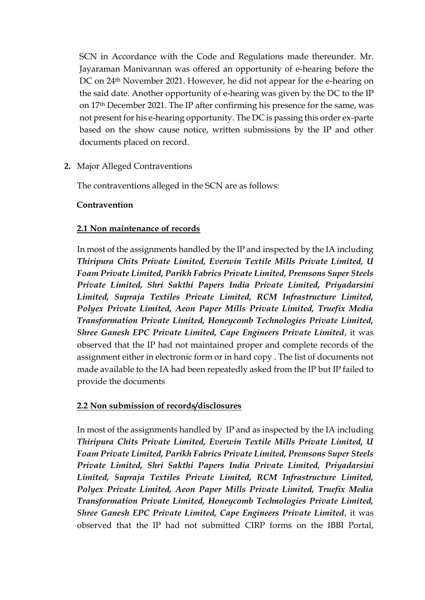SCN in Accordance with the Code and Regulations made thereunder. Mr. Jayaraman Manivannan was offered an opportunity of e-hearing before the DC on 24th November 2021. However, he did not appear for the e-hearing on the said date. Another opportunity of e-hearing was given by the DC to the IP on 17th December 2021. The IP after confirming his presence for the same, was not present for his e-hearing opportunity. The DC is passing this order ex-parte based on the show cause notice, written submissions by the IP and other documents placed on record.

**2.** Major Alleged Contraventions

The contraventions alleged in the SCN are as follows:

### **Contravention**

#### **2.1 Non maintenance of records**

In most of the assignments handled by the IP and inspected by the IA including *Thiripura Chits Private Limited, Everwin Textile Mills Private Limited, U Foam Private Limited, Parikh Fabrics Private Limited, Premsons Super Steels Private Limited, Shri Sakthi Papers India Private Limited, Priyadarsini Limited, Supraja Textiles Private Limited, RCM Infrastructure Limited, Polyex Private Limited, Aeon Paper Mills Private Limited, Truefix Media Transformation Private Limited, Honeycomb Technologies Private Limited, Shree Ganesh EPC Private Limited, Cape Engineers Private Limited*, it was observed that the IP had not maintained proper and complete records of the assignment either in electronic form or in hard copy . The list of documents not made available to the IA had been repeatedly asked from the IP but IP failed to provide the documents

#### **2.2 Non submission of records/disclosures**

In most of the assignments handled by IP and as inspected by the IA including *Thiripura Chits Private Limited, Everwin Textile Mills Private Limited, U Foam Private Limited, Parikh Fabrics Private Limited, Premsons Super Steels Private Limited, Shri Sakthi Papers India Private Limited, Priyadarsini Limited, Supraja Textiles Private Limited, RCM Infrastructure Limited, Polyex Private Limited, Aeon Paper Mills Private Limited, Truefix Media Transformation Private Limited, Honeycomb Technologies Private Limited, Shree Ganesh EPC Private Limited, Cape Engineers Private Limited*, it was observed that the IP had not submitted CIRP forms on the IBBI Portal,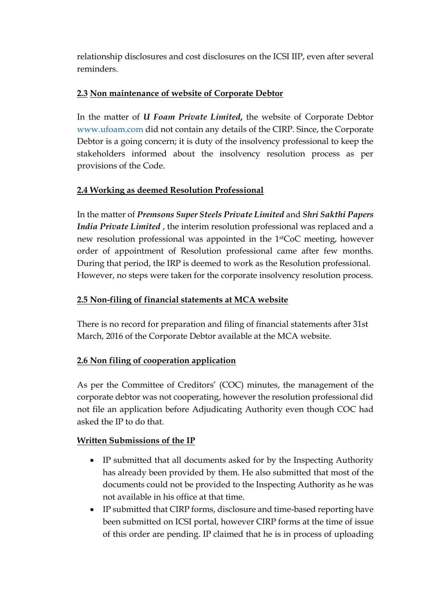relationship disclosures and cost disclosures on the ICSI IIP, even after several reminders.

## **2.3 Non maintenance of website of Corporate Debtor**

In the matter of *U Foam Private Limited***,** the website of Corporate Debtor [www.ufoam.com](http://www.ufoam.com/) did not contain any details of the CIRP. Since, the Corporate Debtor is a going concern; it is duty of the insolvency professional to keep the stakeholders informed about the insolvency resolution process as per provisions of the Code.

# **2.4 Working as deemed Resolution Professional**

In the matter of *Premsons Super Steels Private Limited* and *Shri Sakthi Papers India Private Limited* , the interim resolution professional was replaced and a new resolution professional was appointed in the 1stCoC meeting, however order of appointment of Resolution professional came after few months. During that period, the IRP is deemed to work as the Resolution professional. However, no steps were taken for the corporate insolvency resolution process.

# **2.5 Non-filing of financial statements at MCA website**

There is no record for preparation and filing of financial statements after 31st March, 2016 of the Corporate Debtor available at the MCA website.

# **2.6 Non filing of cooperation application**

As per the Committee of Creditors' (COC) minutes, the management of the corporate debtor was not cooperating, however the resolution professional did not file an application before Adjudicating Authority even though COC had asked the IP to do that.

# **Written Submissions of the IP**

- IP submitted that all documents asked for by the Inspecting Authority has already been provided by them. He also submitted that most of the documents could not be provided to the Inspecting Authority as he was not available in his office at that time.
- IP submitted that CIRP forms, disclosure and time-based reporting have been submitted on ICSI portal, however CIRP forms at the time of issue of this order are pending. IP claimed that he is in process of uploading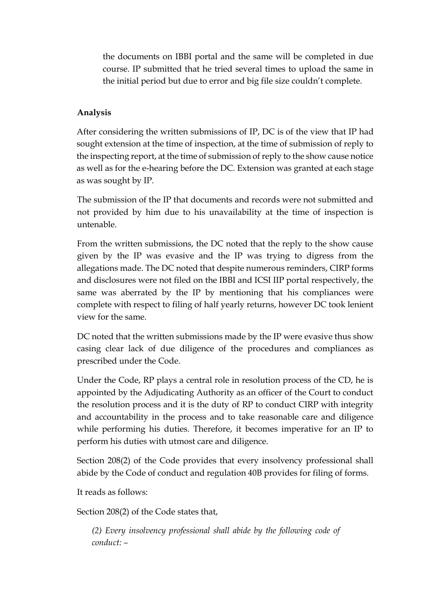the documents on IBBI portal and the same will be completed in due course. IP submitted that he tried several times to upload the same in the initial period but due to error and big file size couldn't complete.

## **Analysis**

After considering the written submissions of IP, DC is of the view that IP had sought extension at the time of inspection, at the time of submission of reply to the inspecting report, at the time of submission of reply to the show cause notice as well as for the e-hearing before the DC. Extension was granted at each stage as was sought by IP.

The submission of the IP that documents and records were not submitted and not provided by him due to his unavailability at the time of inspection is untenable.

From the written submissions, the DC noted that the reply to the show cause given by the IP was evasive and the IP was trying to digress from the allegations made. The DC noted that despite numerous reminders, CIRP forms and disclosures were not filed on the IBBI and ICSI IIP portal respectively, the same was aberrated by the IP by mentioning that his compliances were complete with respect to filing of half yearly returns, however DC took lenient view for the same.

DC noted that the written submissions made by the IP were evasive thus show casing clear lack of due diligence of the procedures and compliances as prescribed under the Code.

Under the Code, RP plays a central role in resolution process of the CD, he is appointed by the Adjudicating Authority as an officer of the Court to conduct the resolution process and it is the duty of RP to conduct CIRP with integrity and accountability in the process and to take reasonable care and diligence while performing his duties. Therefore, it becomes imperative for an IP to perform his duties with utmost care and diligence.

Section 208(2) of the Code provides that every insolvency professional shall abide by the Code of conduct and regulation 40B provides for filing of forms.

It reads as follows:

Section 208(2) of the Code states that,

*(2) Every insolvency professional shall abide by the following code of conduct: –*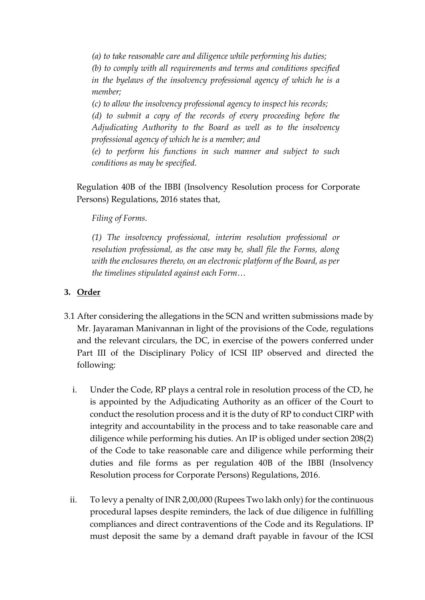*(a) to take reasonable care and diligence while performing his duties; (b) to comply with all requirements and terms and conditions specified in the byelaws of the insolvency professional agency of which he is a member;* 

*(c) to allow the insolvency professional agency to inspect his records; (d) to submit a copy of the records of every proceeding before the Adjudicating Authority to the Board as well as to the insolvency professional agency of which he is a member; and* 

*(e) to perform his functions in such manner and subject to such conditions as may be specified.* 

Regulation 40B of the IBBI (Insolvency Resolution process for Corporate Persons) Regulations, 2016 states that,

*Filing of Forms.* 

*(1) The insolvency professional, interim resolution professional or resolution professional, as the case may be, shall file the Forms, along with the enclosures thereto, on an electronic platform of the Board, as per the timelines stipulated against each Form…*

## **3. Order**

- 3.1 After considering the allegations in the SCN and written submissions made by Mr. Jayaraman Manivannan in light of the provisions of the Code, regulations and the relevant circulars, the DC, in exercise of the powers conferred under Part III of the Disciplinary Policy of ICSI IIP observed and directed the following:
	- i. Under the Code, RP plays a central role in resolution process of the CD, he is appointed by the Adjudicating Authority as an officer of the Court to conduct the resolution process and it is the duty of RP to conduct CIRP with integrity and accountability in the process and to take reasonable care and diligence while performing his duties. An IP is obliged under section 208(2) of the Code to take reasonable care and diligence while performing their duties and file forms as per regulation 40B of the IBBI (Insolvency Resolution process for Corporate Persons) Regulations, 2016.
	- ii. To levy a penalty of INR 2,00,000 (Rupees Two lakh only) for the continuous procedural lapses despite reminders, the lack of due diligence in fulfilling compliances and direct contraventions of the Code and its Regulations. IP must deposit the same by a demand draft payable in favour of the ICSI